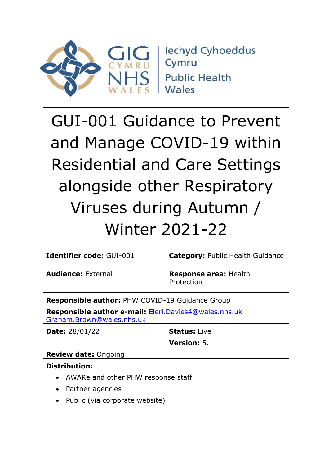

**Iechyd Cyhoeddus** Cymru **Public Health** Wales

# GUI-001 Guidance to Prevent and Manage COVID-19 within Residential and Care Settings alongside other Respiratory Viruses during Autumn / Winter 2021-22

| <b>Identifier code: GUI-001</b>                                                           | <b>Category: Public Health Guidance</b>    |  |
|-------------------------------------------------------------------------------------------|--------------------------------------------|--|
| <b>Audience: External</b>                                                                 | <b>Response area: Health</b><br>Protection |  |
| <b>Responsible author: PHW COVID-19 Guidance Group</b>                                    |                                            |  |
| <b>Responsible author e-mail: Eleri.Davies4@wales.nhs.uk</b><br>Graham.Brown@wales.nhs.uk |                                            |  |
| <b>Date:</b> 28/01/22                                                                     | <b>Status: Live</b>                        |  |
|                                                                                           | <b>Version: 5.1</b>                        |  |
| <b>Review date: Ongoing</b>                                                               |                                            |  |
| <b>Distribution:</b>                                                                      |                                            |  |
| • AWARe and other PHW response staff                                                      |                                            |  |
| Partner agencies<br>$\bullet$                                                             |                                            |  |
| Public (via corporate website)<br>$\bullet$                                               |                                            |  |
|                                                                                           |                                            |  |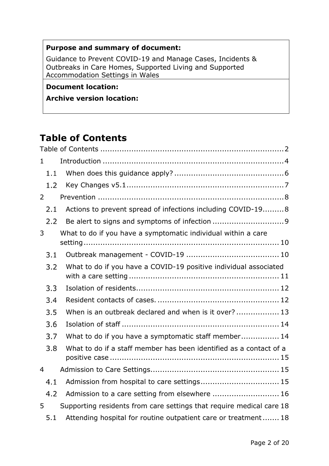### **Purpose and summary of document:**

Guidance to Prevent COVID-19 and Manage Cases, Incidents & Outbreaks in Care Homes, Supported Living and Supported Accommodation Settings in Wales

### **Document location:**

### **Archive version location:**

# <span id="page-1-0"></span>**Table of Contents**

| $\mathbf{1}$   |                                                                      |
|----------------|----------------------------------------------------------------------|
| 1.1            |                                                                      |
| 1.2            |                                                                      |
| 2              |                                                                      |
| 2.1            | Actions to prevent spread of infections including COVID-198          |
| 2.2            |                                                                      |
| 3              | What to do if you have a symptomatic individual within a care        |
| 3.1            |                                                                      |
| 3.2            | What to do if you have a COVID-19 positive individual associated     |
| 3.3            |                                                                      |
| 3.4            |                                                                      |
| 3.5            | When is an outbreak declared and when is it over? 13                 |
| 3.6            |                                                                      |
| 3.7            | What to do if you have a symptomatic staff member 14                 |
| 3.8            | What to do if a staff member has been identified as a contact of a   |
| $\overline{4}$ |                                                                      |
| 4.1            | Admission from hospital to care settings 15                          |
| 4.2            | Admission to a care setting from elsewhere  16                       |
| 5              | Supporting residents from care settings that require medical care 18 |
| 5.1            | Attending hospital for routine outpatient care or treatment 18       |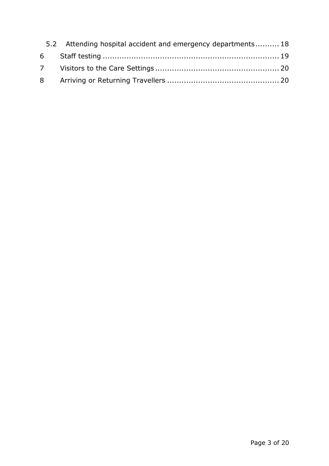| 5.2 Attending hospital accident and emergency departments 18 |
|--------------------------------------------------------------|
|                                                              |
|                                                              |
|                                                              |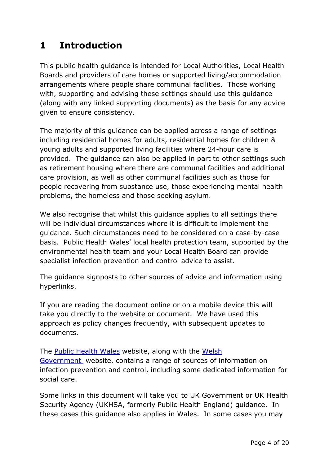# <span id="page-3-0"></span>**1 Introduction**

This public health guidance is intended for Local Authorities, Local Health Boards and providers of care homes or supported living/accommodation arrangements where people share communal facilities. Those working with, supporting and advising these settings should use this guidance (along with any linked supporting documents) as the basis for any advice given to ensure consistency.

The majority of this guidance can be applied across a range of settings including residential homes for adults, residential homes for children & young adults and supported living facilities where 24-hour care is provided. The guidance can also be applied in part to other settings such as retirement housing where there are communal facilities and additional care provision, as well as other communal facilities such as those for people recovering from substance use, those experiencing mental health problems, the homeless and those seeking asylum.

We also recognise that whilst this guidance applies to all settings there will be individual circumstances where it is difficult to implement the guidance. Such circumstances need to be considered on a case-by-case basis. Public Health Wales' local health protection team, supported by the environmental health team and your Local Health Board can provide specialist infection prevention and control advice to assist.

The guidance signposts to other sources of advice and information using hyperlinks.

If you are reading the document online or on a mobile device this will take you directly to the website or document. We have used this approach as policy changes frequently, with subsequent updates to documents.

The [Public Health Wales](https://phw.nhs.wales/topics/latest-information-on-novel-coronavirus-covid-19/information-for-health-and-social-care/) website, along with the [Welsh](https://gov.wales/health-professionals-coronavirus)  [Government](https://gov.wales/health-professionals-coronavirus) website, contains a range of sources of information on infection prevention and control, including some dedicated information for social care.

Some links in this document will take you to UK Government or UK Health Security Agency (UKHSA, formerly Public Health England) guidance. In these cases this guidance also applies in Wales. In some cases you may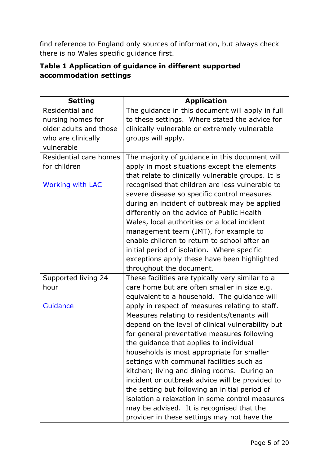find reference to England only sources of information, but always check there is no Wales specific guidance first.

### **Table 1 Application of guidance in different supported accommodation settings**

| <b>Setting</b>          | <b>Application</b>                                 |
|-------------------------|----------------------------------------------------|
| Residential and         | The guidance in this document will apply in full   |
| nursing homes for       | to these settings. Where stated the advice for     |
| older adults and those  | clinically vulnerable or extremely vulnerable      |
| who are clinically      | groups will apply.                                 |
| vulnerable              |                                                    |
| Residential care homes  | The majority of guidance in this document will     |
| for children            | apply in most situations except the elements       |
|                         | that relate to clinically vulnerable groups. It is |
| <b>Working with LAC</b> | recognised that children are less vulnerable to    |
|                         | severe disease so specific control measures        |
|                         | during an incident of outbreak may be applied      |
|                         | differently on the advice of Public Health         |
|                         | Wales, local authorities or a local incident       |
|                         | management team (IMT), for example to              |
|                         | enable children to return to school after an       |
|                         | initial period of isolation. Where specific        |
|                         | exceptions apply these have been highlighted       |
|                         | throughout the document.                           |
| Supported living 24     | These facilities are typically very similar to a   |
| hour                    | care home but are often smaller in size e.g.       |
|                         | equivalent to a household. The guidance will       |
| Guidance                | apply in respect of measures relating to staff.    |
|                         | Measures relating to residents/tenants will        |
|                         | depend on the level of clinical vulnerability but  |
|                         | for general preventative measures following        |
|                         | the guidance that applies to individual            |
|                         | households is most appropriate for smaller         |
|                         | settings with communal facilities such as          |
|                         | kitchen; living and dining rooms. During an        |
|                         | incident or outbreak advice will be provided to    |
|                         | the setting but following an initial period of     |
|                         | isolation a relaxation in some control measures    |
|                         | may be advised. It is recognised that the          |
|                         | provider in these settings may not have the        |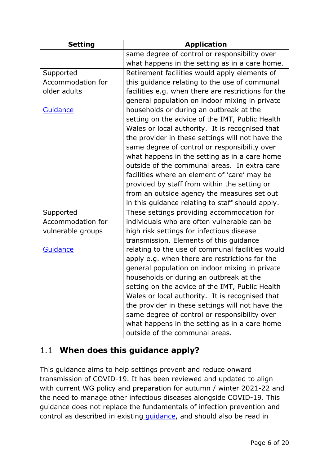| <b>Setting</b>    | <b>Application</b>                                  |
|-------------------|-----------------------------------------------------|
|                   | same degree of control or responsibility over       |
|                   | what happens in the setting as in a care home.      |
| Supported         | Retirement facilities would apply elements of       |
| Accommodation for | this guidance relating to the use of communal       |
| older adults      | facilities e.g. when there are restrictions for the |
|                   | general population on indoor mixing in private      |
| <b>Guidance</b>   | households or during an outbreak at the             |
|                   | setting on the advice of the IMT, Public Health     |
|                   | Wales or local authority. It is recognised that     |
|                   | the provider in these settings will not have the    |
|                   | same degree of control or responsibility over       |
|                   | what happens in the setting as in a care home       |
|                   | outside of the communal areas. In extra care        |
|                   | facilities where an element of 'care' may be        |
|                   | provided by staff from within the setting or        |
|                   | from an outside agency the measures set out         |
|                   | in this guidance relating to staff should apply.    |
| Supported         | These settings providing accommodation for          |
| Accommodation for | individuals who are often vulnerable can be         |
| vulnerable groups | high risk settings for infectious disease           |
|                   | transmission. Elements of this guidance             |
| Guidance          | relating to the use of communal facilities would    |
|                   | apply e.g. when there are restrictions for the      |
|                   | general population on indoor mixing in private      |
|                   | households or during an outbreak at the             |
|                   | setting on the advice of the IMT, Public Health     |
|                   | Wales or local authority. It is recognised that     |
|                   | the provider in these settings will not have the    |
|                   | same degree of control or responsibility over       |
|                   | what happens in the setting as in a care home       |
|                   | outside of the communal areas.                      |

### <span id="page-5-0"></span>**When does this guidance apply?**

This guidance aims to help settings prevent and reduce onward transmission of COVID-19. It has been reviewed and updated to align with current WG policy and preparation for autumn / winter 2021-22 and the need to manage other infectious diseases alongside COVID-19. This guidance does not replace the fundamentals of infection prevention and control as described in existing quidance, and should also be read in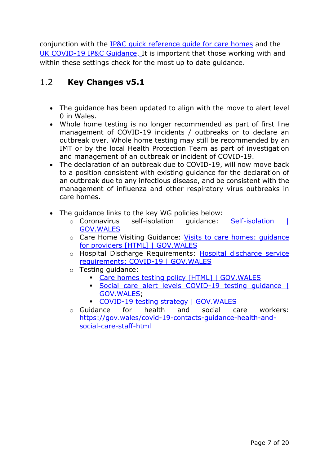conjunction with the [IP&C quick reference guide for care homes](http://www.wales.nhs.uk/sitesplus/documents/888/IP%26C%20Quick%20Reference%20Guide%20for%20Care%20Homes%202018.pdf) and the [UK COVID-19 IP&C Guidance.](https://www.gov.uk/government/publications/wuhan-novel-coronavirus-infection-prevention-and-control) It is important that those working with and within these settings check for the most up to date guidance.

#### <span id="page-6-0"></span> $1.2$ **Key Changes v5.1**

- The guidance has been updated to align with the move to alert level 0 in Wales.
- Whole home testing is no longer recommended as part of first line management of COVID-19 incidents / outbreaks or to declare an outbreak over. Whole home testing may still be recommended by an IMT or by the local Health Protection Team as part of investigation and management of an outbreak or incident of COVID-19.
- The declaration of an outbreak due to COVID-19, will now move back to a position consistent with existing guidance for the declaration of an outbreak due to any infectious disease, and be consistent with the management of influenza and other respiratory virus outbreaks in care homes.
- The guidance links to the key WG policies below:
	- o Coronavirus self-isolation guidance: [Self-isolation |](https://gov.wales/self-isolation)  [GOV.WALES](https://gov.wales/self-isolation)
	- o Care Home Visiting Guidance: [Visits to care homes: guidance](https://gov.wales/visits-care-homes-guidance-providers-html)  [for providers \[HTML\] | GOV.WALES](https://gov.wales/visits-care-homes-guidance-providers-html)
	- o Hospital Discharge Requirements: Hospital discharge service [requirements: COVID-19 | GOV.WALES](https://gov.wales/hospital-discharge-service-requirements-covid-19)
	- o Testing guidance:
		- [Care homes testing policy \[HTML\] | GOV.WALES](https://gov.wales/testing-process-care-homes-covid-19-html#section-43096)
		- [Social care alert levels COVID-19 testing guidance |](https://gov.wales/social-care-alert-levels-covid-19-testing-guidance)  [GOV.WALES;](https://gov.wales/social-care-alert-levels-covid-19-testing-guidance)
		- [COVID-19 testing strategy | GOV.WALES](https://gov.wales/covid-19-testing-strategy)
	- o Guidance for health and social care workers: [https://gov.wales/covid-19-contacts-guidance-health-and](https://gov.wales/covid-19-contacts-guidance-health-and-social-care-staff-html)[social-care-staff-html](https://gov.wales/covid-19-contacts-guidance-health-and-social-care-staff-html)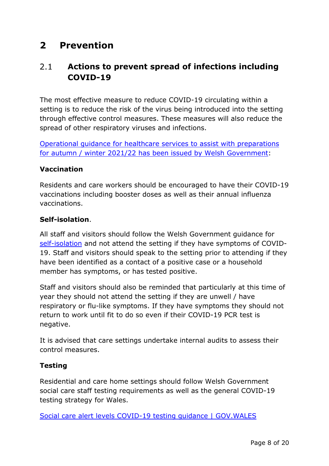# <span id="page-7-0"></span>**2 Prevention**

#### <span id="page-7-1"></span> $2.1$ **Actions to prevent spread of infections including COVID-19**

The most effective measure to reduce COVID-19 circulating within a setting is to reduce the risk of the virus being introduced into the setting through effective control measures. These measures will also reduce the spread of other respiratory viruses and infections.

[Operational guidance for healthcare services](https://gov.wales/preparing-health-care-environments-autumn-and-winter-2021-2022-operational-guidance) to assist with preparations for autumn / winter 2021/22 [has been issued by Welsh Government:](https://gov.wales/preparing-health-care-environments-autumn-and-winter-2021-2022-operational-guidance)

### **Vaccination**

Residents and care workers should be encouraged to have their COVID-19 vaccinations including booster doses as well as their annual influenza vaccinations.

### **Self-isolation**.

All staff and visitors should follow the Welsh Government guidance for [self-isolation](https://gov.wales/self-isolation) and not attend the setting if they have symptoms of COVID-19. Staff and visitors should speak to the setting prior to attending if they have been identified as a contact of a positive case or a household member has symptoms, or has tested positive.

Staff and visitors should also be reminded that particularly at this time of year they should not attend the setting if they are unwell / have respiratory or flu-like symptoms. If they have symptoms they should not return to work until fit to do so even if their COVID-19 PCR test is negative.

It is advised that care settings undertake internal audits to assess their control measures.

### **Testing**

Residential and care home settings should follow Welsh Government social care staff testing requirements as well as the general COVID-19 testing strategy for Wales.

[Social care alert levels COVID-19 testing guidance | GOV.WALES](https://gov.wales/social-care-alert-levels-covid-19-testing-guidance)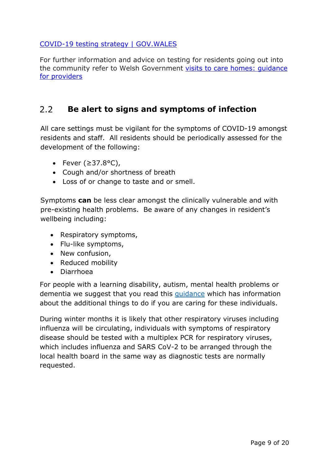### [COVID-19 testing strategy | GOV.WALES](https://gov.wales/covid-19-testing-strategy)

For further information and advice on testing for residents going out into the community refer to Welsh Government [visits to care homes:](https://gov.wales/visits-care-homes-guidance-providers) guidance [for providers](https://gov.wales/visits-care-homes-guidance-providers)

#### <span id="page-8-0"></span> $2.2$ **Be alert to signs and symptoms of infection**

All care settings must be vigilant for the symptoms of COVID-19 amongst residents and staff. All residents should be periodically assessed for the development of the following:

- Fever (≥37.8°C),
- Cough and/or shortness of breath
- Loss of or change to taste and or smell.

Symptoms **can** be less clear amongst the clinically vulnerable and with pre-existing health problems. Be aware of any changes in resident's wellbeing including:

- Respiratory symptoms,
- Flu-like symptoms,
- New confusion,
- Reduced mobility
- Diarrhoea

For people with a learning disability, autism, mental health problems or dementia we suggest that you read this [guidance](https://www.england.nhs.uk/coronavirus/publication/letter-responding-to-covid-19-mental-health-learning-disabilities-and-autism/) which has information about the additional things to do if you are caring for these individuals.

During winter months it is likely that other respiratory viruses including influenza will be circulating, individuals with symptoms of respiratory disease should be tested with a multiplex PCR for respiratory viruses, which includes influenza and SARS CoV-2 to be arranged through the local health board in the same way as diagnostic tests are normally requested.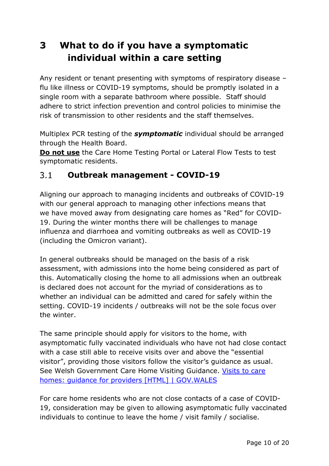# <span id="page-9-0"></span>**3 What to do if you have a symptomatic individual within a care setting**

Any resident or tenant presenting with symptoms of respiratory disease – flu like illness or COVID-19 symptoms, should be promptly isolated in a single room with a separate bathroom where possible. Staff should adhere to strict infection prevention and control policies to minimise the risk of transmission to other residents and the staff themselves.

Multiplex PCR testing of the *symptomatic* individual should be arranged through the Health Board.

**Do not use** the Care Home Testing Portal or Lateral Flow Tests to test symptomatic residents.

#### <span id="page-9-1"></span> $3.1$ **Outbreak management - COVID-19**

Aligning our approach to managing incidents and outbreaks of COVID-19 with our general approach to managing other infections means that we have moved away from designating care homes as "Red" for COVID-19. During the winter months there will be challenges to manage influenza and diarrhoea and vomiting outbreaks as well as COVID-19 (including the Omicron variant).

In general outbreaks should be managed on the basis of a risk assessment, with admissions into the home being considered as part of this. Automatically closing the home to all admissions when an outbreak is declared does not account for the myriad of considerations as to whether an individual can be admitted and cared for safely within the setting. COVID-19 incidents / outbreaks will not be the sole focus over the winter.

The same principle should apply for visitors to the home, with asymptomatic fully vaccinated individuals who have not had close contact with a case still able to receive visits over and above the "essential visitor", providing those visitors follow the visitor's guidance as usual. See Welsh Government Care Home Visiting Guidance. [Visits to care](https://gov.wales/visits-care-homes-guidance-providers-html)  [homes: guidance for providers \[HTML\] | GOV.WALES](https://gov.wales/visits-care-homes-guidance-providers-html)

For care home residents who are not close contacts of a case of COVID-19, consideration may be given to allowing asymptomatic fully vaccinated individuals to continue to leave the home / visit family / socialise.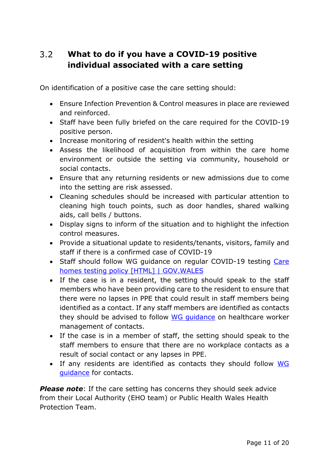#### <span id="page-10-0"></span> $3.2$ **What to do if you have a COVID-19 positive individual associated with a care setting**

On identification of a positive case the care setting should:

- Ensure Infection Prevention & Control measures in place are reviewed and reinforced.
- Staff have been fully briefed on the care required for the COVID-19 positive person.
- Increase monitoring of resident's health within the setting
- Assess the likelihood of acquisition from within the care home environment or outside the setting via community, household or social contacts.
- Ensure that any returning residents or new admissions due to come into the setting are risk assessed.
- Cleaning schedules should be increased with particular attention to cleaning high touch points, such as door handles, shared walking aids, call bells / buttons.
- Display signs to inform of the situation and to highlight the infection control measures.
- Provide a situational update to residents/tenants, visitors, family and staff if there is a confirmed case of COVID-19
- Staff should follow WG guidance on regular COVID-19 testing Care [homes testing policy \[HTML\] | GOV.WALES](https://gov.wales/testing-process-care-homes-covid-19-html#section-43096)
- If the case is in a resident, the setting should speak to the staff members who have been providing care to the resident to ensure that there were no lapses in PPE that could result in staff members being identified as a contact. If any staff members are identified as contacts they should be advised to follow WG quidance on healthcare worker management of contacts.
- If the case is in a member of staff, the setting should speak to the staff members to ensure that there are no workplace contacts as a result of social contact or any lapses in PPE.
- If any residents are identified as contacts they should follow WG [guidance](https://gov.wales/self-isolation) for contacts.

**Please note:** If the care setting has concerns they should seek advice from their Local Authority (EHO team) or Public Health Wales Health Protection Team.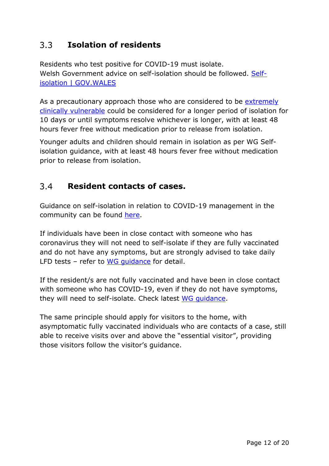#### <span id="page-11-0"></span> $3.3$ **Isolation of residents**

Residents who test positive for COVID-19 must isolate. Welsh Government advice on self-isolation should be followed. [Self](https://gov.wales/self-isolation)[isolation | GOV.WALES](https://gov.wales/self-isolation)

As a precautionary approach those who are considered to be extremely [clinically vulnerable](https://gov.wales/guidance-protecting-people-defined-medical-grounds-clinically-extremely-vulnerable-coronavirus) could be considered for a longer period of isolation for 10 days or until symptoms resolve whichever is longer, with at least 48 hours fever free without medication prior to release from isolation.

Younger adults and children should remain in isolation as per WG Selfisolation guidance, with at least 48 hours fever free without medication prior to release from isolation.

#### <span id="page-11-1"></span> $3.4$ **Resident contacts of cases.**

Guidance on self-isolation in relation to COVID-19 management in the community can be found [here.](https://gov.wales/self-isolation)

If individuals have been in close contact with someone who has coronavirus they will not need to self-isolate if they are fully vaccinated and do not have any symptoms, but are strongly advised to take daily LFD tests – refer to WG quidance for detail.

If the resident/s are not fully vaccinated and have been in close contact with someone who has COVID-19, even if they do not have symptoms, they will need to self-isolate. Check latest [WG guidance.](https://gov.wales/self-isolation)

The same principle should apply for visitors to the home, with asymptomatic fully vaccinated individuals who are contacts of a case, still able to receive visits over and above the "essential visitor", providing those visitors follow the visitor's guidance.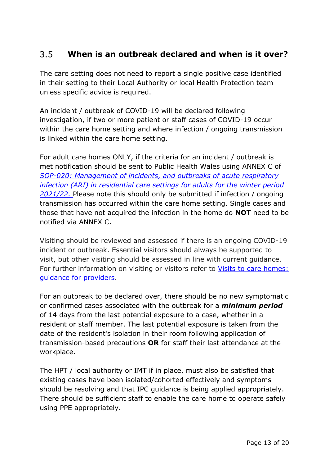#### <span id="page-12-0"></span>**When is an outbreak declared and when is it over?**  $3.5$

The care setting does not need to report a single positive case identified in their setting to their Local Authority or local Health Protection team unless specific advice is required.

An incident / outbreak of COVID-19 will be declared following investigation, if two or more patient or staff cases of COVID-19 occur within the care home setting and where infection / ongoing transmission is linked within the care home setting.

For adult care homes ONLY, if the criteria for an incident / outbreak is met notification should be sent to Public Health Wales using ANNEX C of *[SOP-020: Management of incidents, and outbreaks of acute respiratory](https://phw.nhs.wales/topics/latest-information-on-novel-coronavirus-covid-19/information-for-health-and-social-care/sop-020/)  infection [\(ARI\) in residential care settings for adults for the winter period](https://phw.nhs.wales/topics/latest-information-on-novel-coronavirus-covid-19/information-for-health-and-social-care/sop-020/)  [2021/22.](https://phw.nhs.wales/topics/latest-information-on-novel-coronavirus-covid-19/information-for-health-and-social-care/sop-020/)* Please note this should only be submitted if infection / ongoing transmission has occurred within the care home setting. Single cases and those that have not acquired the infection in the home do **NOT** need to be notified via ANNEX C.

Visiting should be reviewed and assessed if there is an ongoing COVID-19 incident or outbreak. Essential visitors should always be supported to visit, but other visiting should be assessed in line with current guidance. For further information on visiting or visitors refer to [Visits to care homes:](https://gov.wales/visits-care-homes-guidance-providers-html) [guidance for providers.](https://gov.wales/visits-care-homes-guidance-providers-html)

For an outbreak to be declared over, there should be no new symptomatic or confirmed cases associated with the outbreak for a *minimum period* of 14 days from the last potential exposure to a case, whether in a resident or staff member. The last potential exposure is taken from the date of the resident's isolation in their room following application of transmission-based precautions **OR** for staff their last attendance at the workplace.

The HPT / local authority or IMT if in place, must also be satisfied that existing cases have been isolated/cohorted effectively and symptoms should be resolving and that IPC guidance is being applied appropriately. There should be sufficient staff to enable the care home to operate safely using PPE appropriately.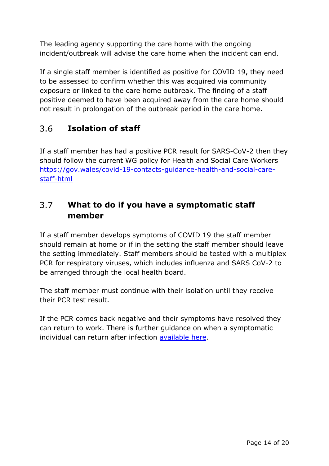The leading agency supporting the care home with the ongoing incident/outbreak will advise the care home when the incident can end.

If a single staff member is identified as positive for COVID 19, they need to be assessed to confirm whether this was acquired via community exposure or linked to the care home outbreak. The finding of a staff positive deemed to have been acquired away from the care home should not result in prolongation of the outbreak period in the care home.

#### <span id="page-13-0"></span>**Isolation of staff**  $3.6$

If a staff member has had a positive PCR result for SARS-CoV-2 then they should follow the current WG policy for Health and Social Care Workers [https://gov.wales/covid-19-contacts-guidance-health-and-social-care](https://gov.wales/covid-19-contacts-guidance-health-and-social-care-staff-html)[staff-html](https://gov.wales/covid-19-contacts-guidance-health-and-social-care-staff-html)

#### <span id="page-13-1"></span> $3.7$ **What to do if you have a symptomatic staff member**

If a staff member develops symptoms of COVID 19 the staff member should remain at home or if in the setting the staff member should leave the setting immediately. Staff members should be tested with a multiplex PCR for respiratory viruses, which includes influenza and SARS CoV-2 to be arranged through the local health board.

The staff member must continue with their isolation until they receive their PCR test result.

If the PCR comes back negative and their symptoms have resolved they can return to work. There is further guidance on when a symptomatic individual can return after infection [available here.](https://phw.nhs.wales/services-and-teams/harp/infection-prevention-and-control/guidance/recommended-time-to-keep-individuals-away-from-settings-english-july-2020/)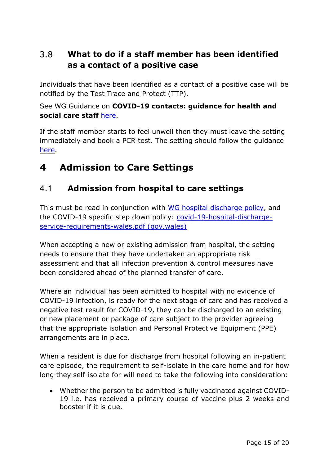#### <span id="page-14-0"></span> $3.8$ **What to do if a staff member has been identified as a contact of a positive case**

Individuals that have been identified as a contact of a positive case will be notified by the Test Trace and Protect (TTP).

### See WG Guidance on **COVID-19 contacts: guidance for health and social care staff** [here.](https://gov.wales/covid-19-contacts-guidance-health-and-social-care-staff-html)

If the staff member starts to feel unwell then they must leave the setting immediately and book a PCR test. The setting should follow the guidance [here.](https://content.govdelivery.com/attachments/UKWALES_CSSIW_INT/2021/08/06/file_attachments/1898826/Guidance-for-patient-service-user-facing-health-and-social-care-workers-following-potential-contact-with-COVID-19.pdf)

# <span id="page-14-1"></span>**4 Admission to Care Settings**

#### <span id="page-14-2"></span> $4.1$ **Admission from hospital to care settings**

This must be read in conjunction with [WG hospital discharge policy,](https://gov.wales/hospital-discharge-service-requirements-covid-19) and the COVID-19 specific step down policy: [covid-19-hospital-discharge](https://gov.wales/sites/default/files/publications/2021-12/covid-19-hospital-discharge-service-requirements-wales.pdf)[service-requirements-wales.pdf \(gov.wales\)](https://gov.wales/sites/default/files/publications/2021-12/covid-19-hospital-discharge-service-requirements-wales.pdf)

When accepting a new or existing admission from hospital, the setting needs to ensure that they have undertaken an appropriate risk assessment and that all infection prevention & control measures have been considered ahead of the planned transfer of care.

Where an individual has been admitted to hospital with no evidence of COVID-19 infection, is ready for the next stage of care and has received a negative test result for COVID-19, they can be discharged to an existing or new placement or package of care subject to the provider agreeing that the appropriate isolation and Personal Protective Equipment (PPE) arrangements are in place.

When a resident is due for discharge from hospital following an in-patient care episode, the requirement to self-isolate in the care home and for how long they self-isolate for will need to take the following into consideration:

• Whether the person to be admitted is fully vaccinated against COVID-19 i.e. has received a primary course of vaccine plus 2 weeks and booster if it is due.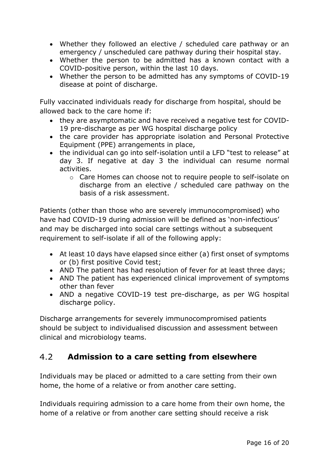- Whether they followed an elective / scheduled care pathway or an emergency / unscheduled care pathway during their hospital stay.
- Whether the person to be admitted has a known contact with a COVID-positive person, within the last 10 days.
- Whether the person to be admitted has any symptoms of COVID-19 disease at point of discharge.

Fully vaccinated individuals ready for discharge from hospital, should be allowed back to the care home if:

- they are asymptomatic and have received a negative test for COVID-19 pre-discharge as per WG hospital discharge policy
- the care provider has appropriate isolation and Personal Protective Equipment (PPE) arrangements in place,
- the individual can go into self-isolation until a LFD "test to release" at day 3. If negative at day 3 the individual can resume normal activities.
	- o Care Homes can choose not to require people to self-isolate on discharge from an elective / scheduled care pathway on the basis of a risk assessment.

Patients (other than those who are severely immunocompromised) who have had COVID-19 during admission will be defined as 'non-infectious' and may be discharged into social care settings without a subsequent requirement to self-isolate if all of the following apply:

- At least 10 days have elapsed since either (a) first onset of symptoms or (b) first positive Covid test;
- AND The patient has had resolution of fever for at least three days;
- AND The patient has experienced clinical improvement of symptoms other than fever
- AND a negative COVID-19 test pre-discharge, as per WG hospital discharge policy.

Discharge arrangements for severely immunocompromised patients should be subject to individualised discussion and assessment between clinical and microbiology teams.

#### <span id="page-15-0"></span> $4.2$ **Admission to a care setting from elsewhere**

Individuals may be placed or admitted to a care setting from their own home, the home of a relative or from another care setting.

Individuals requiring admission to a care home from their own home, the home of a relative or from another care setting should receive a risk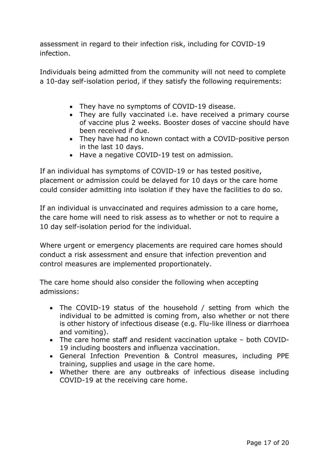assessment in regard to their infection risk, including for COVID-19 infection.

Individuals being admitted from the community will not need to complete a 10-day self-isolation period, if they satisfy the following requirements:

- They have no symptoms of COVID-19 disease.
- They are fully vaccinated i.e. have received a primary course of vaccine plus 2 weeks. Booster doses of vaccine should have been received if due.
- They have had no known contact with a COVID-positive person in the last 10 days.
- Have a negative COVID-19 test on admission.

If an individual has symptoms of COVID-19 or has tested positive, placement or admission could be delayed for 10 days or the care home could consider admitting into isolation if they have the facilities to do so.

If an individual is unvaccinated and requires admission to a care home, the care home will need to risk assess as to whether or not to require a 10 day self-isolation period for the individual.

Where urgent or emergency placements are required care homes should conduct a risk assessment and ensure that infection prevention and control measures are implemented proportionately.

The care home should also consider the following when accepting admissions:

- The COVID-19 status of the household / setting from which the individual to be admitted is coming from, also whether or not there is other history of infectious disease (e.g. Flu-like illness or diarrhoea and vomiting).
- The care home staff and resident vaccination uptake both COVID-19 including boosters and influenza vaccination.
- General Infection Prevention & Control measures, including PPE training, supplies and usage in the care home.
- Whether there are any outbreaks of infectious disease including COVID-19 at the receiving care home.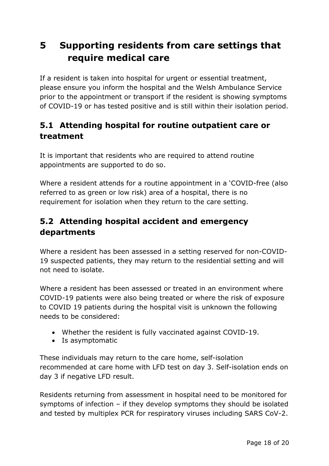# <span id="page-17-0"></span>**5 Supporting residents from care settings that require medical care**

If a resident is taken into hospital for urgent or essential treatment, please ensure you inform the hospital and the Welsh Ambulance Service prior to the appointment or transport if the resident is showing symptoms of COVID-19 or has tested positive and is still within their isolation period.

### <span id="page-17-1"></span>**5.1 Attending hospital for routine outpatient care or treatment**

It is important that residents who are required to attend routine appointments are supported to do so.

Where a resident attends for a routine appointment in a 'COVID-free (also referred to as green or low risk) area of a hospital, there is no requirement for isolation when they return to the care setting.

### <span id="page-17-2"></span>**5.2 Attending hospital accident and emergency departments**

Where a resident has been assessed in a setting reserved for non-COVID-19 suspected patients, they may return to the residential setting and will not need to isolate.

Where a resident has been assessed or treated in an environment where COVID-19 patients were also being treated or where the risk of exposure to COVID 19 patients during the hospital visit is unknown the following needs to be considered:

- Whether the resident is fully vaccinated against COVID-19.
- Is asymptomatic

These individuals may return to the care home, self-isolation recommended at care home with LFD test on day 3. Self-isolation ends on day 3 if negative LFD result.

Residents returning from assessment in hospital need to be monitored for symptoms of infection – if they develop symptoms they should be isolated and tested by multiplex PCR for respiratory viruses including SARS CoV-2.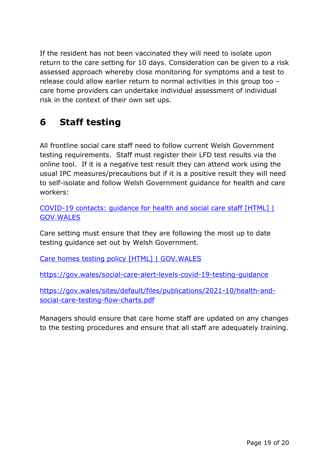If the resident has not been vaccinated they will need to isolate upon return to the care setting for 10 days. Consideration can be given to a risk assessed approach whereby close monitoring for symptoms and a test to release could allow earlier return to normal activities in this group too – care home providers can undertake individual assessment of individual risk in the context of their own set ups.

# <span id="page-18-0"></span>**6 Staff testing**

All frontline social care staff need to follow current Welsh Government testing requirements. Staff must register their LFD test results via the online tool. If it is a negative test result they can attend work using the usual IPC measures/precautions but if it is a positive result they will need to self-isolate and follow Welsh Government guidance for health and care workers:

[COVID-19 contacts: guidance for health and social care staff \[HTML\] |](https://gov.wales/covid-19-contacts-guidance-health-and-social-care-staff-html)  [GOV.WALES](https://gov.wales/covid-19-contacts-guidance-health-and-social-care-staff-html)

Care setting must ensure that they are following the most up to date testing guidance set out by Welsh Government.

[Care homes testing policy \[HTML\] | GOV.WALES](https://gov.wales/testing-process-care-homes-covid-19-html#section-43096)

<https://gov.wales/social-care-alert-levels-covid-19-testing-guidance>

[https://gov.wales/sites/default/files/publications/2021-10/health-and](https://gov.wales/sites/default/files/publications/2021-10/health-and-social-care-testing-flow-charts.pdf)[social-care-testing-flow-charts.pdf](https://gov.wales/sites/default/files/publications/2021-10/health-and-social-care-testing-flow-charts.pdf)

Managers should ensure that care home staff are updated on any changes to the testing procedures and ensure that all staff are adequately training.